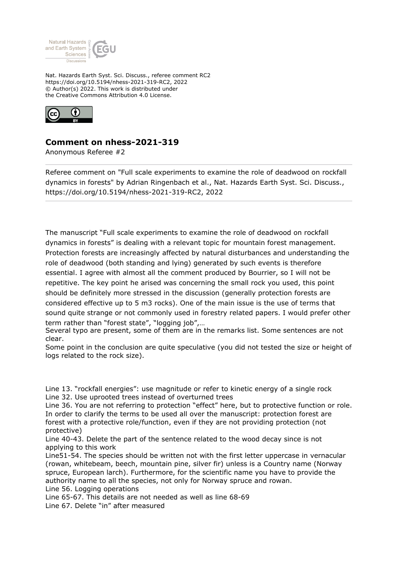

Nat. Hazards Earth Syst. Sci. Discuss., referee comment RC2 https://doi.org/10.5194/nhess-2021-319-RC2, 2022 © Author(s) 2022. This work is distributed under the Creative Commons Attribution 4.0 License.



## **Comment on nhess-2021-319**

Anonymous Referee #2

Referee comment on "Full scale experiments to examine the role of deadwood on rockfall dynamics in forests" by Adrian Ringenbach et al., Nat. Hazards Earth Syst. Sci. Discuss., https://doi.org/10.5194/nhess-2021-319-RC2, 2022

The manuscript "Full scale experiments to examine the role of deadwood on rockfall dynamics in forests" is dealing with a relevant topic for mountain forest management. Protection forests are increasingly affected by natural disturbances and understanding the role of deadwood (both standing and lying) generated by such events is therefore essential. I agree with almost all the comment produced by Bourrier, so I will not be repetitive. The key point he arised was concerning the small rock you used, this point should be definitely more stressed in the discussion (generally protection forests are considered effective up to 5 m3 rocks). One of the main issue is the use of terms that sound quite strange or not commonly used in forestry related papers. I would prefer other term rather than "forest state", "logging job",…

Several typo are present, some of them are in the remarks list. Some sentences are not clear.

Some point in the conclusion are quite speculative (you did not tested the size or height of logs related to the rock size).

Line 13. "rockfall energies": use magnitude or refer to kinetic energy of a single rock Line 32. Use uprooted trees instead of overturned trees

Line 36. You are not referring to protection "effect" here, but to protective function or role. In order to clarify the terms to be used all over the manuscript: protection forest are forest with a protective role/function, even if they are not providing protection (not protective)

Line 40-43. Delete the part of the sentence related to the wood decay since is not applying to this work

Line51-54. The species should be written not with the first letter uppercase in vernacular (rowan, whitebeam, beech, mountain pine, silver fir) unless is a Country name (Norway spruce, European larch). Furthermore, for the scientific name you have to provide the authority name to all the species, not only for Norway spruce and rowan. Line 56. Logging operations

Line 65-67. This details are not needed as well as line 68-69

Line 67. Delete "in" after measured